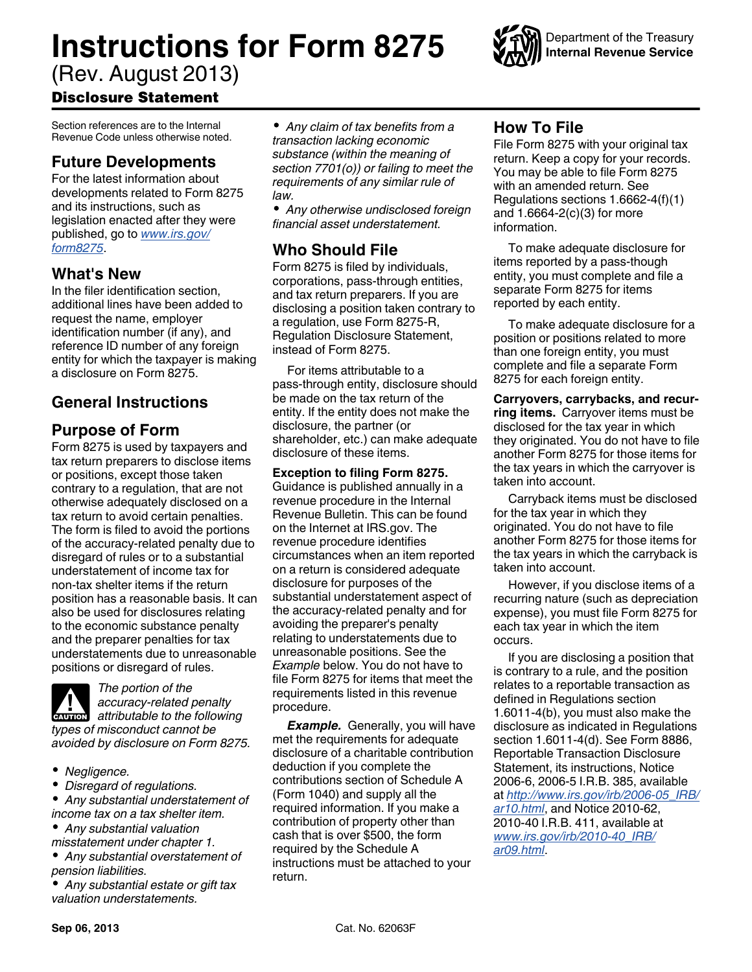# **Instructions for Form 8275**

(Rev. August 2013)

# Disclosure Statement

Section references are to the Internal Revenue Code unless otherwise noted.

# **Future Developments**

For the latest information about developments related to Form 8275 and its instructions, such as legislation enacted after they were published, go to *[www.irs.gov/](http://www.irs.gov/form8275) [form8275](http://www.irs.gov/form8275)*.

## **What's New**

In the filer identification section, additional lines have been added to request the name, employer identification number (if any), and reference ID number of any foreign entity for which the taxpayer is making a disclosure on Form 8275.

# **General Instructions**

# **Purpose of Form**

Form 8275 is used by taxpayers and tax return preparers to disclose items or positions, except those taken contrary to a regulation, that are not otherwise adequately disclosed on a tax return to avoid certain penalties. The form is filed to avoid the portions of the accuracy-related penalty due to disregard of rules or to a substantial understatement of income tax for non-tax shelter items if the return position has a reasonable basis. It can also be used for disclosures relating to the economic substance penalty and the preparer penalties for tax understatements due to unreasonable positions or disregard of rules.



- *Negligence.*
- ٠ *Disregard of regulations.*

*Any substantial understatement of income tax on a tax shelter item.*

- *Any substantial valuation*
- *misstatement under chapter 1.*
- *Any substantial overstatement of pension liabilities.*

*Any substantial estate or gift tax valuation understatements.*

*Any claim of tax benefits from a transaction lacking economic substance (within the meaning of section 7701(o)) or failing to meet the requirements of any similar rule of law.*

*Any otherwise undisclosed foreign financial asset understatement.*

# **Who Should File**

Form 8275 is filed by individuals, corporations, pass-through entities, and tax return preparers. If you are disclosing a position taken contrary to a regulation, use Form 8275-R, Regulation Disclosure Statement, instead of Form 8275.

For items attributable to a pass-through entity, disclosure should be made on the tax return of the entity. If the entity does not make the disclosure, the partner (or shareholder, etc.) can make adequate disclosure of these items.

**Exception to filing Form 8275.**  Guidance is published annually in a revenue procedure in the Internal Revenue Bulletin. This can be found on the Internet at IRS.gov. The revenue procedure identifies circumstances when an item reported on a return is considered adequate disclosure for purposes of the substantial understatement aspect of the accuracy-related penalty and for avoiding the preparer's penalty relating to understatements due to unreasonable positions. See the *Example* below. You do not have to file Form 8275 for items that meet the requirements listed in this revenue procedure.

*Example.* Generally, you will have met the requirements for adequate disclosure of a charitable contribution deduction if you complete the contributions section of Schedule A (Form 1040) and supply all the required information. If you make a contribution of property other than cash that is over \$500, the form required by the Schedule A instructions must be attached to your return.

# **How To File**

File Form 8275 with your original tax return. Keep a copy for your records. You may be able to file Form 8275 with an amended return. See Regulations sections 1.6662-4(f)(1) and 1.6664-2(c)(3) for more information.

To make adequate disclosure for items reported by a pass-though entity, you must complete and file a separate Form 8275 for items reported by each entity.

To make adequate disclosure for a position or positions related to more than one foreign entity, you must complete and file a separate Form 8275 for each foreign entity.

**Carryovers, carrybacks, and recurring items.** Carryover items must be disclosed for the tax year in which they originated. You do not have to file another Form 8275 for those items for the tax years in which the carryover is taken into account.

Carryback items must be disclosed for the tax year in which they originated. You do not have to file another Form 8275 for those items for the tax years in which the carryback is taken into account.

However, if you disclose items of a recurring nature (such as depreciation expense), you must file Form 8275 for each tax year in which the item occurs.

If you are disclosing a position that is contrary to a rule, and the position relates to a reportable transaction as defined in Regulations section 1.6011-4(b), you must also make the disclosure as indicated in Regulations section 1.6011-4(d). See Form 8886, Reportable Transaction Disclosure Statement, its instructions, Notice 2006-6, 2006-5 I.R.B. 385, available at *[http://www.irs.gov/irb/2006-05\\_IRB/](http://www.irs.gov/irb/2006-05_IRB/ar10.html) [ar10.html](http://www.irs.gov/irb/2006-05_IRB/ar10.html)*, and Notice 2010-62, 2010-40 I.R.B. 411, available at *[www.irs.gov/irb/2010-40\\_IRB/](http://www.irs.gov/irb/2010-40_IRB/ar09.html) [ar09.html](http://www.irs.gov/irb/2010-40_IRB/ar09.html)*.

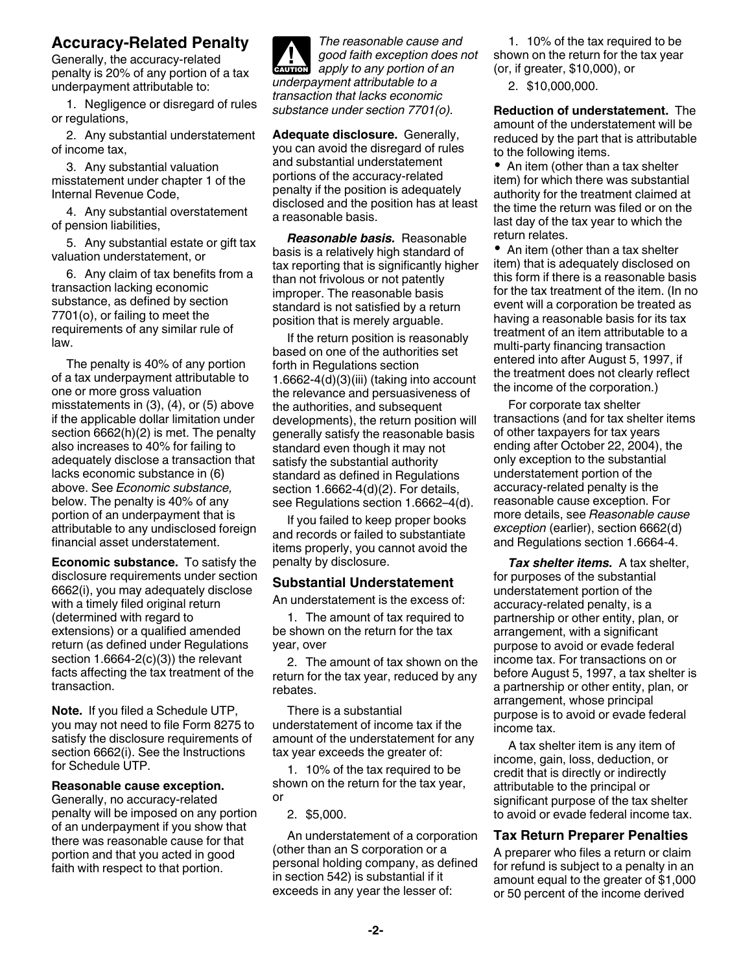#### **Accuracy-Related Penalty**

Generally, the accuracy-related penalty is 20% of any portion of a tax underpayment attributable to:

1. Negligence or disregard of rules or regulations,

2. Any substantial understatement of income tax,

3. Any substantial valuation misstatement under chapter 1 of the Internal Revenue Code,

4. Any substantial overstatement of pension liabilities,

5. Any substantial estate or gift tax valuation understatement, or

6. Any claim of tax benefits from a transaction lacking economic substance, as defined by section 7701(o), or failing to meet the requirements of any similar rule of law.

The penalty is 40% of any portion of a tax underpayment attributable to one or more gross valuation misstatements in (3), (4), or (5) above if the applicable dollar limitation under section 6662(h)(2) is met. The penalty also increases to 40% for failing to adequately disclose a transaction that lacks economic substance in (6) above. See *Economic substance,*  below. The penalty is 40% of any portion of an underpayment that is attributable to any undisclosed foreign financial asset understatement.

**Economic substance.** To satisfy the disclosure requirements under section 6662(i), you may adequately disclose with a timely filed original return (determined with regard to extensions) or a qualified amended return (as defined under Regulations section  $1.6664-2(c)(3)$ ) the relevant facts affecting the tax treatment of the transaction.

**Note.** If you filed a Schedule UTP, you may not need to file Form 8275 to satisfy the disclosure requirements of section 6662(i). See the Instructions for Schedule UTP.

#### **Reasonable cause exception.**

Generally, no accuracy-related penalty will be imposed on any portion of an underpayment if you show that there was reasonable cause for that portion and that you acted in good faith with respect to that portion.



**Adequate disclosure.** Generally, you can avoid the disregard of rules and substantial understatement portions of the accuracy-related penalty if the position is adequately disclosed and the position has at least a reasonable basis.

*Reasonable basis.* Reasonable basis is a relatively high standard of tax reporting that is significantly higher than not frivolous or not patently improper. The reasonable basis standard is not satisfied by a return position that is merely arguable.

If the return position is reasonably based on one of the authorities set forth in Regulations section 1.6662-4(d)(3)(iii) (taking into account the relevance and persuasiveness of the authorities, and subsequent developments), the return position will generally satisfy the reasonable basis standard even though it may not satisfy the substantial authority standard as defined in Regulations section 1.6662-4(d)(2). For details, see Regulations section 1.6662–4(d).

If you failed to keep proper books and records or failed to substantiate items properly, you cannot avoid the penalty by disclosure.

#### **Substantial Understatement**

An understatement is the excess of:

1. The amount of tax required to be shown on the return for the tax year, over

2. The amount of tax shown on the return for the tax year, reduced by any rebates.

There is a substantial understatement of income tax if the amount of the understatement for any tax year exceeds the greater of:

1. 10% of the tax required to be shown on the return for the tax year, or

2. \$5,000.

An understatement of a corporation (other than an S corporation or a personal holding company, as defined in section 542) is substantial if it exceeds in any year the lesser of:

1. 10% of the tax required to be shown on the return for the tax year (or, if greater, \$10,000), or

2. \$10,000,000.

**Reduction of understatement.** The amount of the understatement will be reduced by the part that is attributable to the following items.

• An item (other than a tax shelter item) for which there was substantial authority for the treatment claimed at the time the return was filed or on the last day of the tax year to which the return relates.

• An item (other than a tax shelter item) that is adequately disclosed on this form if there is a reasonable basis for the tax treatment of the item. (In no event will a corporation be treated as having a reasonable basis for its tax treatment of an item attributable to a multi-party financing transaction entered into after August 5, 1997, if the treatment does not clearly reflect the income of the corporation.)

For corporate tax shelter transactions (and for tax shelter items of other taxpayers for tax years ending after October 22, 2004), the only exception to the substantial understatement portion of the accuracy-related penalty is the reasonable cause exception. For more details, see *Reasonable cause exception* (earlier), section 6662(d) and Regulations section 1.6664-4.

*Tax shelter items.* A tax shelter, for purposes of the substantial understatement portion of the accuracy-related penalty, is a partnership or other entity, plan, or arrangement, with a significant purpose to avoid or evade federal income tax. For transactions on or before August 5, 1997, a tax shelter is a partnership or other entity, plan, or arrangement, whose principal purpose is to avoid or evade federal income tax.

A tax shelter item is any item of income, gain, loss, deduction, or credit that is directly or indirectly attributable to the principal or significant purpose of the tax shelter to avoid or evade federal income tax.

#### **Tax Return Preparer Penalties**

A preparer who files a return or claim for refund is subject to a penalty in an amount equal to the greater of \$1,000 or 50 percent of the income derived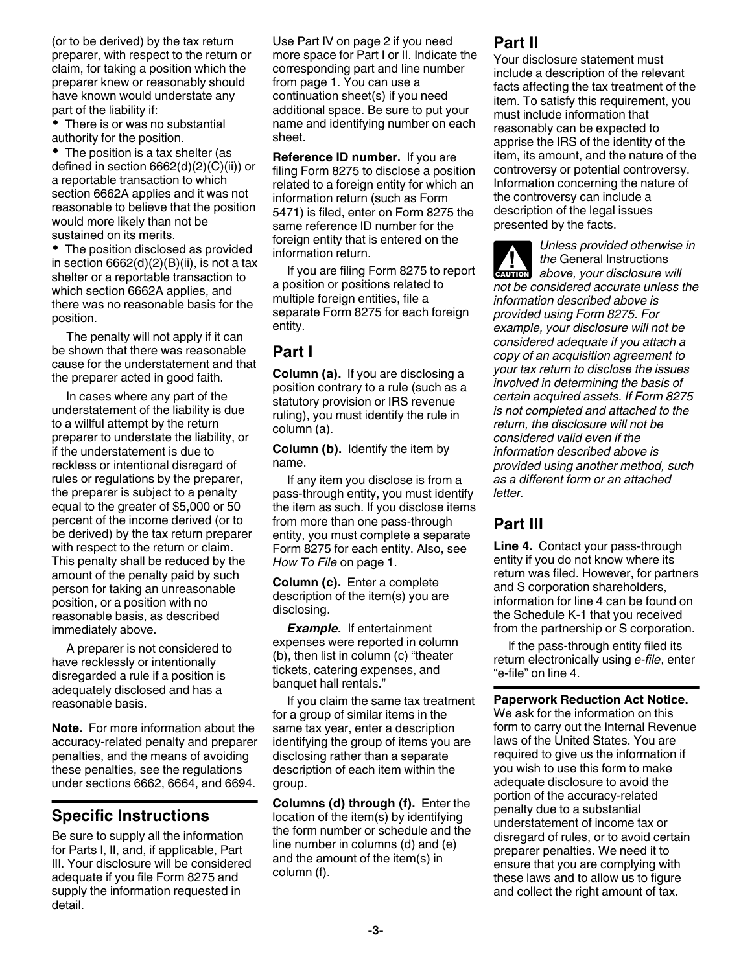(or to be derived) by the tax return preparer, with respect to the return or claim, for taking a position which the preparer knew or reasonably should have known would understate any part of the liability if:

• There is or was no substantial authority for the position.

• The position is a tax shelter (as defined in section 6662(d)(2)(C)(ii)) or a reportable transaction to which section 6662A applies and it was not reasonable to believe that the position would more likely than not be sustained on its merits.

• The position disclosed as provided in section  $6662(d)(2)(B)(ii)$ , is not a tax shelter or a reportable transaction to which section 6662A applies, and there was no reasonable basis for the position.

The penalty will not apply if it can be shown that there was reasonable cause for the understatement and that the preparer acted in good faith.

In cases where any part of the understatement of the liability is due to a willful attempt by the return preparer to understate the liability, or if the understatement is due to reckless or intentional disregard of rules or regulations by the preparer, the preparer is subject to a penalty equal to the greater of \$5,000 or 50 percent of the income derived (or to be derived) by the tax return preparer with respect to the return or claim. This penalty shall be reduced by the amount of the penalty paid by such person for taking an unreasonable position, or a position with no reasonable basis, as described immediately above.

A preparer is not considered to have recklessly or intentionally disregarded a rule if a position is adequately disclosed and has a reasonable basis.

**Note.** For more information about the accuracy-related penalty and preparer penalties, and the means of avoiding these penalties, see the regulations under sections 6662, 6664, and 6694.

# **Specific Instructions**

Be sure to supply all the information for Parts I, II, and, if applicable, Part III. Your disclosure will be considered adequate if you file Form 8275 and supply the information requested in detail.

Use Part IV on page 2 if you need more space for Part I or II. Indicate the corresponding part and line number from page 1. You can use a continuation sheet(s) if you need additional space. Be sure to put your name and identifying number on each sheet.

**Reference ID number.** If you are filing Form 8275 to disclose a position related to a foreign entity for which an information return (such as Form 5471) is filed, enter on Form 8275 the same reference ID number for the foreign entity that is entered on the information return.

If you are filing Form 8275 to report a position or positions related to multiple foreign entities, file a separate Form 8275 for each foreign entity.

### **Part I**

**Column (a).** If you are disclosing a position contrary to a rule (such as a statutory provision or IRS revenue ruling), you must identify the rule in column (a).

**Column (b).** Identify the item by name.

If any item you disclose is from a pass-through entity, you must identify the item as such. If you disclose items from more than one pass-through entity, you must complete a separate Form 8275 for each entity. Also, see *How To File* on page 1.

**Column (c).** Enter a complete description of the item(s) you are disclosing.

*Example.* If entertainment expenses were reported in column (b), then list in column (c) "theater tickets, catering expenses, and banquet hall rentals."

If you claim the same tax treatment for a group of similar items in the same tax year, enter a description identifying the group of items you are disclosing rather than a separate description of each item within the group.

**Columns (d) through (f).** Enter the location of the item(s) by identifying the form number or schedule and the line number in columns (d) and (e) and the amount of the item(s) in column (f).

# **Part II**

Your disclosure statement must include a description of the relevant facts affecting the tax treatment of the item. To satisfy this requirement, you must include information that reasonably can be expected to apprise the IRS of the identity of the item, its amount, and the nature of the controversy or potential controversy. Information concerning the nature of the controversy can include a description of the legal issues presented by the facts.

*Unless provided otherwise in the* General Instructions **h** *above, your disclosure will*<br> **EXUTION** *not be considered accurate unless the information described above is provided using Form 8275. For example, your disclosure will not be considered adequate if you attach a copy of an acquisition agreement to your tax return to disclose the issues involved in determining the basis of certain acquired assets. If Form 8275 is not completed and attached to the return, the disclosure will not be considered valid even if the information described above is provided using another method, such as a different form or an attached letter.*

## **Part III**

**Line 4.** Contact your pass-through entity if you do not know where its return was filed. However, for partners and S corporation shareholders, information for line 4 can be found on the Schedule K-1 that you received from the partnership or S corporation.

If the pass-through entity filed its return electronically using *e-file*, enter "e-file" on line 4.

**Paperwork Reduction Act Notice.** 

We ask for the information on this form to carry out the Internal Revenue laws of the United States. You are required to give us the information if you wish to use this form to make adequate disclosure to avoid the portion of the accuracy-related penalty due to a substantial understatement of income tax or disregard of rules, or to avoid certain preparer penalties. We need it to ensure that you are complying with these laws and to allow us to figure and collect the right amount of tax.